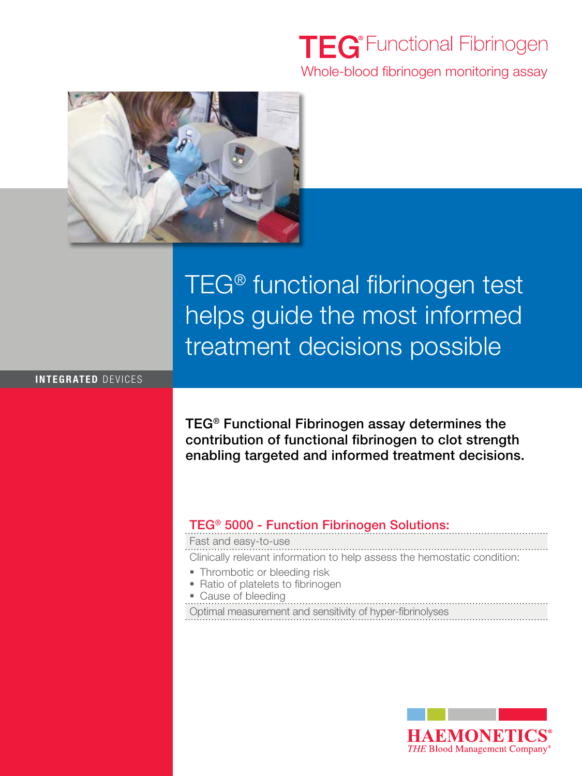## **TEG**<sup>®</sup> Functional Fibrinogen Whole-blood fibrinogen monitoring assay



# TEG® functional fibrinogen test helps guide the most informed treatment decisions possible

#### integrated devices

TEG® Functional Fibrinogen assay determines the contribution of functional fibrinogen to clot strength enabling targeted and informed treatment decisions.

### TEG® 5000 - Function Fibrinogen Solutions:

Fast and easy-to-use

Clinically relevant information to help assess the hemostatic condition:

- Thrombotic or bleeding risk
- Ratio of platelets to fibrinogen
- Cause of bleeding

Optimal measurement and sensitivity of hyper-fibrinolyses